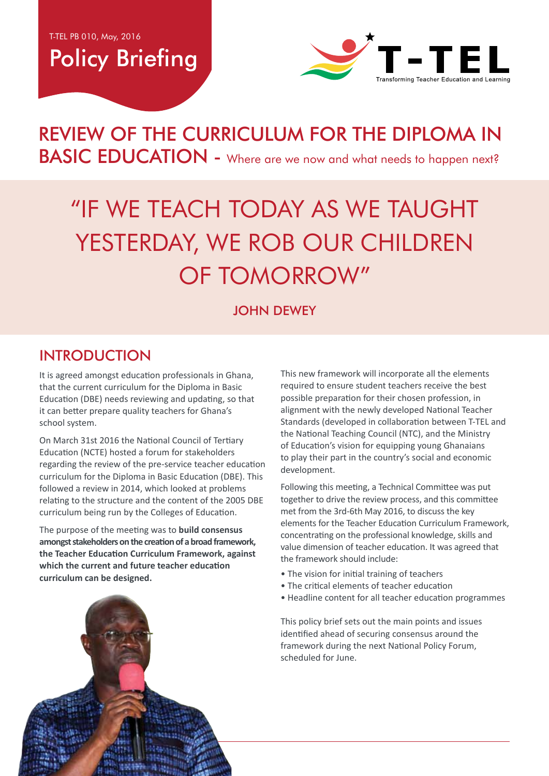## Policy Briefing



### REVIEW OF THE CURRICULUM FOR THE DIPLOMA IN BASIC EDUCATION - Where are we now and what needs to happen next?

# "If we teach today as we taught YESTERDAY, WE ROB OUR CHILDREN of tomorrow"

#### **JOHN DEWEY**

#### **INTRODUCTION**

It is agreed amongst education professionals in Ghana, that the current curriculum for the Diploma in Basic Education (DBE) needs reviewing and updating, so that it can better prepare quality teachers for Ghana's school system.

On March 31st 2016 the National Council of Tertiary Education (NCTE) hosted a forum for stakeholders regarding the review of the pre-service teacher education curriculum for the Diploma in Basic Education (DBE). This followed a review in 2014, which looked at problems relating to the structure and the content of the 2005 DBE curriculum being run by the Colleges of Education.

The purpose of the meeting was to **build consensus amongst stakeholders on the creation of a broad framework, the Teacher Education Curriculum Framework, against which the current and future teacher education curriculum can be designed.** 

This new framework will incorporate all the elements required to ensure student teachers receive the best possible preparation for their chosen profession, in alignment with the newly developed National Teacher Standards (developed in collaboration between T-TEL and the National Teaching Council (NTC), and the Ministry of Education's vision for equipping young Ghanaians to play their part in the country's social and economic development.

Following this meeting, a Technical Committee was put together to drive the review process, and this committee met from the 3rd-6th May 2016, to discuss the key elements for the Teacher Education Curriculum Framework, concentrating on the professional knowledge, skills and value dimension of teacher education. It was agreed that the framework should include:

- The vision for initial training of teachers
- The critical elements of teacher education
- Headline content for all teacher education programmes

This policy brief sets out the main points and issues identified ahead of securing consensus around the framework during the next National Policy Forum, scheduled for June.

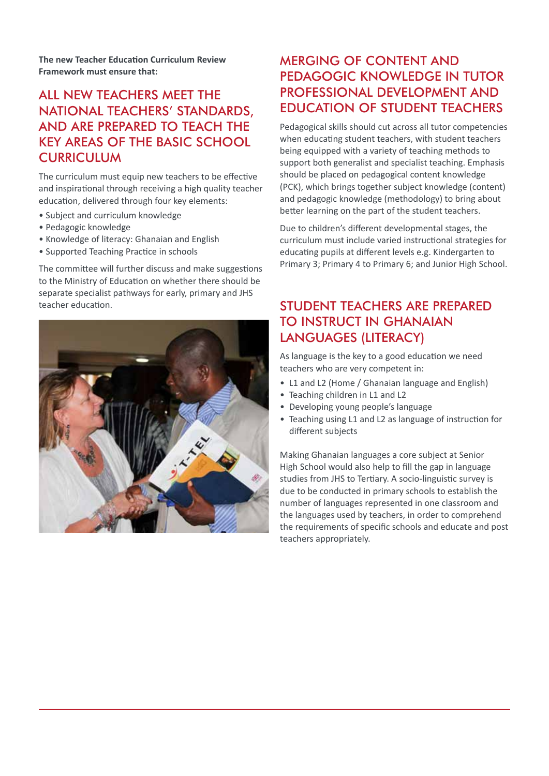**The new Teacher Education Curriculum Review Framework must ensure that:**

#### All new teachers meet the National Teachers' Standards, and are prepared to teach the key areas of the Basic School **CURRICULUM**

The curriculum must equip new teachers to be effective and inspirational through receiving a high quality teacher education, delivered through four key elements:

- Subject and curriculum knowledge
- Pedagogic knowledge
- Knowledge of literacy: Ghanaian and English
- Supported Teaching Practice in schools

The committee will further discuss and make suggestions to the Ministry of Education on whether there should be separate specialist pathways for early, primary and JHS teacher education.



#### Merging of content and pedagogic knowledge in tutor professional development and education of student teachers

Pedagogical skills should cut across all tutor competencies when educating student teachers, with student teachers being equipped with a variety of teaching methods to support both generalist and specialist teaching. Emphasis should be placed on pedagogical content knowledge (PCK), which brings together subject knowledge (content) and pedagogic knowledge (methodology) to bring about better learning on the part of the student teachers.

Due to children's different developmental stages, the curriculum must include varied instructional strategies for educating pupils at different levels e.g. Kindergarten to Primary 3; Primary 4 to Primary 6; and Junior High School.

#### Student teachers are prepared to instruct in Ghanaian languages (Literacy)

As language is the key to a good education we need teachers who are very competent in:

- L1 and L2 (Home / Ghanaian language and English)
- Teaching children in L1 and L2
- Developing young people's language
- Teaching using L1 and L2 as language of instruction for different subjects

Making Ghanaian languages a core subject at Senior High School would also help to fill the gap in language studies from JHS to Tertiary. A socio-linguistic survey is due to be conducted in primary schools to establish the number of languages represented in one classroom and the languages used by teachers, in order to comprehend the requirements of specific schools and educate and post teachers appropriately.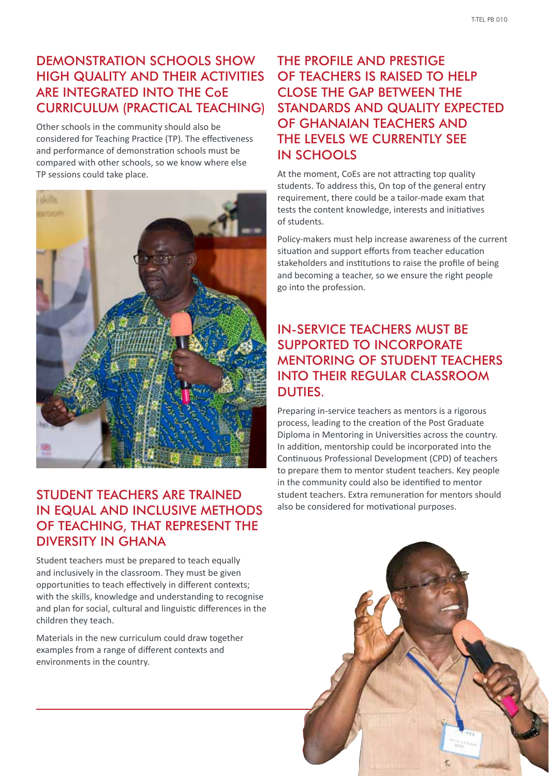#### Demonstration schools show high quality and their activities are integrated into the CoE curriculum (Practical teaching)

Other schools in the community should also be considered for Teaching Practice (TP). The effectiveness and performance of demonstration schools must be compared with other schools, so we know where else TP sessions could take place.



#### Student teachers are trained in equal and inclusive methods of teaching, that represent the diversity in Ghana

Student teachers must be prepared to teach equally and inclusively in the classroom. They must be given opportunities to teach effectively in different contexts; with the skills, knowledge and understanding to recognise and plan for social, cultural and linguistic differences in the children they teach.

Materials in the new curriculum could draw together examples from a range of different contexts and environments in the country.

#### The profile and prestige OF TEACHERS IS RAISED TO HELP close the gap between the standards and quality expected of Ghanaian teachers and the levels we currently see in schools

At the moment, CoEs are not attracting top quality students. To address this, On top of the general entry requirement, there could be a tailor-made exam that tests the content knowledge, interests and initiatives of students.

Policy-makers must help increase awareness of the current situation and support efforts from teacher education stakeholders and institutions to raise the profile of being and becoming a teacher, so we ensure the right people go into the profession.

#### In-service teachers must be supported to incorporate mentoring of student teachers into their regular classroom duties.

Preparing in-service teachers as mentors is a rigorous process, leading to the creation of the Post Graduate Diploma in Mentoring in Universities across the country. In addition, mentorship could be incorporated into the Continuous Professional Development (CPD) of teachers to prepare them to mentor student teachers. Key people in the community could also be identified to mentor student teachers. Extra remuneration for mentors should also be considered for motivational purposes.